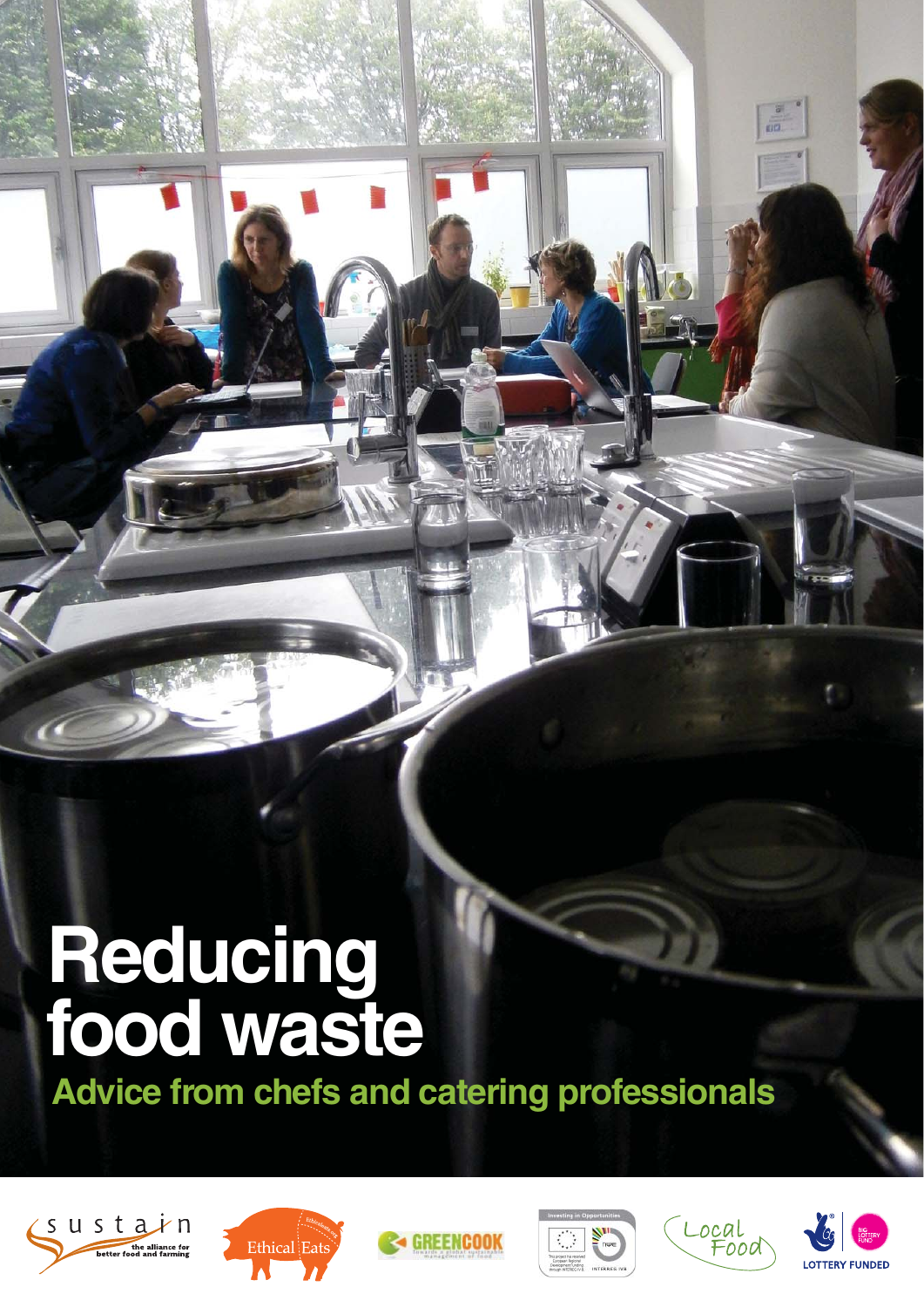# **Reducing food waste**

**Advice from chefs and catering professionals**











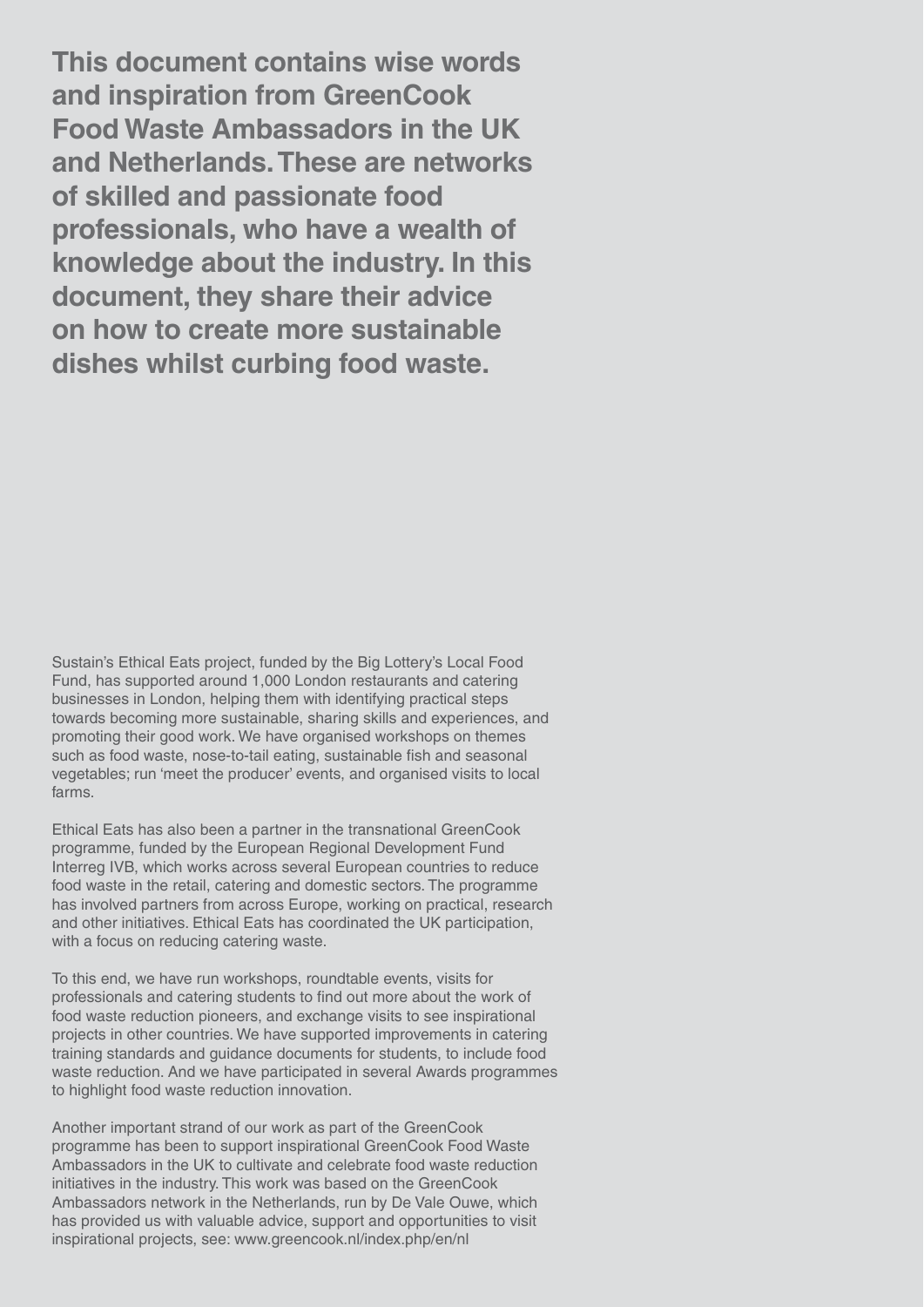2 **This document contains wise words and inspiration from GreenCook Food Waste Ambassadors in the UK and Netherlands. These are networks of skilled and passionate food professionals, who have a wealth of knowledge about the industry. In this document, they share their advice on how to create more sustainable dishes whilst curbing food waste.** 

Sustain's Ethical Eats project, funded by the Big Lottery's Local Food Fund, has supported around 1,000 London restaurants and catering businesses in London, helping them with identifying practical steps towards becoming more sustainable, sharing skills and experiences, and promoting their good work. We have organised workshops on themes such as food waste, nose-to-tail eating, sustainable fish and seasonal vegetables; run 'meet the producer' events, and organised visits to local farms.

Ethical Eats has also been a partner in the transnational GreenCook programme, funded by the European Regional Development Fund Interreg IVB, which works across several European countries to reduce food waste in the retail, catering and domestic sectors. The programme has involved partners from across Europe, working on practical, research and other initiatives. Ethical Eats has coordinated the UK participation, with a focus on reducing catering waste.

To this end, we have run workshops, roundtable events, visits for professionals and catering students to find out more about the work of food waste reduction pioneers, and exchange visits to see inspirational projects in other countries. We have supported improvements in catering training standards and guidance documents for students, to include food waste reduction. And we have participated in several Awards programmes to highlight food waste reduction innovation.

Another important strand of our work as part of the GreenCook programme has been to support inspirational GreenCook Food Waste Ambassadors in the UK to cultivate and celebrate food waste reduction initiatives in the industry. This work was based on the GreenCook Ambassadors network in the Netherlands, run by De Vale Ouwe, which has provided us with valuable advice, support and opportunities to visit inspirational projects, see: www.greencook.nl/index.php/en/nl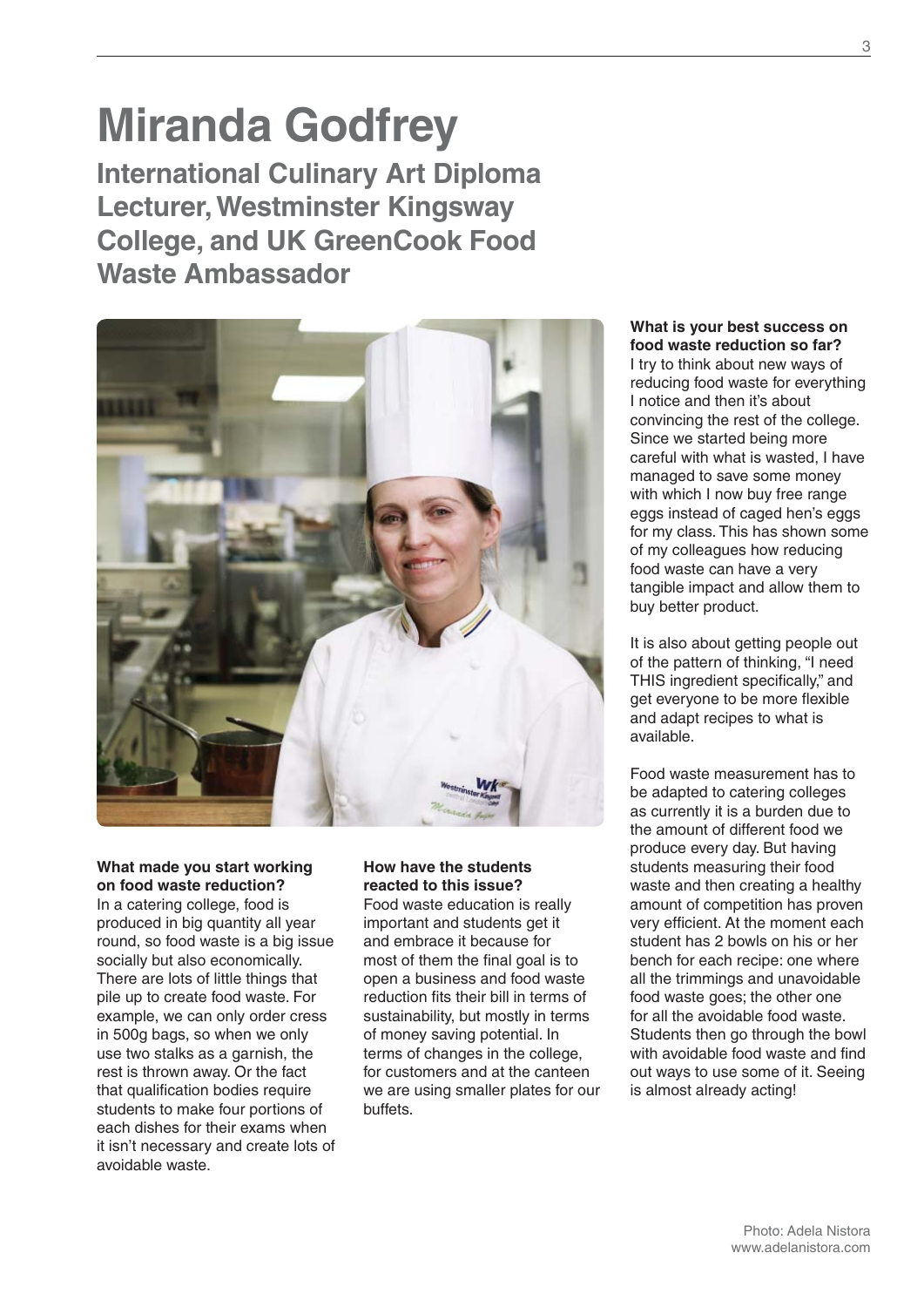# **Miranda Godfrey**

**International Culinary Art Diploma Lecturer, Westminster Kingsway College, and UK GreenCook Food Waste Ambassador**



**What made you start working on food waste reduction?** In a catering college, food is produced in big quantity all year round, so food waste is a big issue socially but also economically. There are lots of little things that pile up to create food waste. For example, we can only order cress in 500g bags, so when we only use two stalks as a garnish, the rest is thrown away. Or the fact that qualification bodies require students to make four portions of each dishes for their exams when it isn't necessary and create lots of avoidable waste.

#### **How have the students reacted to this issue?**

Food waste education is really important and students get it and embrace it because for most of them the final goal is to open a business and food waste reduction fits their bill in terms of sustainability, but mostly in terms of money saving potential. In terms of changes in the college, for customers and at the canteen we are using smaller plates for our buffets.

#### **What is your best success on food waste reduction so far?**

I try to think about new ways of reducing food waste for everything I notice and then it's about convincing the rest of the college. Since we started being more careful with what is wasted, I have managed to save some money with which I now buy free range eggs instead of caged hen's eggs for my class. This has shown some of my colleagues how reducing food waste can have a very tangible impact and allow them to buy better product.

It is also about getting people out of the pattern of thinking, "I need THIS ingredient specifically," and get everyone to be more flexible and adapt recipes to what is available.

Food waste measurement has to be adapted to catering colleges as currently it is a burden due to the amount of different food we produce every day. But having students measuring their food waste and then creating a healthy amount of competition has proven very efficient. At the moment each student has 2 bowls on his or her bench for each recipe: one where all the trimmings and unavoidable food waste goes; the other one for all the avoidable food waste. Students then go through the bowl with avoidable food waste and find out ways to use some of it. Seeing is almost already acting!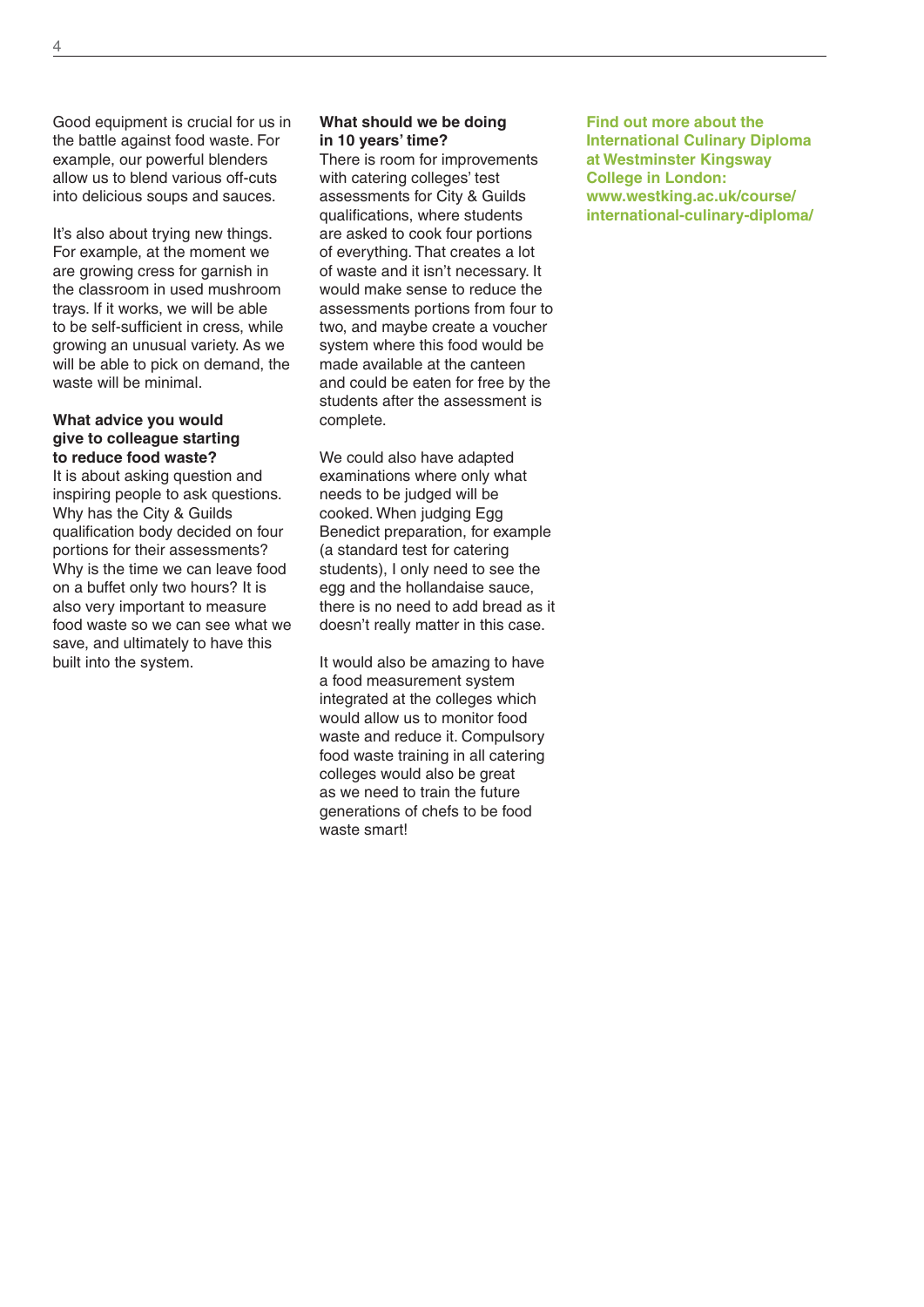Good equipment is crucial for us in the battle against food waste. For example, our powerful blenders allow us to blend various off-cuts into delicious soups and sauces.

It's also about trying new things. For example, at the moment we are growing cress for garnish in the classroom in used mushroom trays. If it works, we will be able to be self-sufficient in cress, while growing an unusual variety. As we will be able to pick on demand, the waste will be minimal.

#### **What advice you would give to colleague starting to reduce food waste?**

It is about asking question and inspiring people to ask questions. Why has the City & Guilds qualification body decided on four portions for their assessments? Why is the time we can leave food on a buffet only two hours? It is also very important to measure food waste so we can see what we save, and ultimately to have this built into the system.

#### **What should we be doing in 10 years' time?**

There is room for improvements with catering colleges' test assessments for City & Guilds qualifications, where students are asked to cook four portions of everything. That creates a lot of waste and it isn't necessary. It would make sense to reduce the assessments portions from four to two, and maybe create a voucher system where this food would be made available at the canteen and could be eaten for free by the students after the assessment is complete.

We could also have adapted examinations where only what needs to be judged will be cooked. When judging Egg Benedict preparation, for example (a standard test for catering students), I only need to see the egg and the hollandaise sauce, there is no need to add bread as it doesn't really matter in this case.

It would also be amazing to have a food measurement system integrated at the colleges which would allow us to monitor food waste and reduce it. Compulsory food waste training in all catering colleges would also be great as we need to train the future generations of chefs to be food waste smart!

**Find out more about the International Culinary Diploma at Westminster Kingsway College in London: www.westking.ac.uk/course/ international-culinary-diploma/**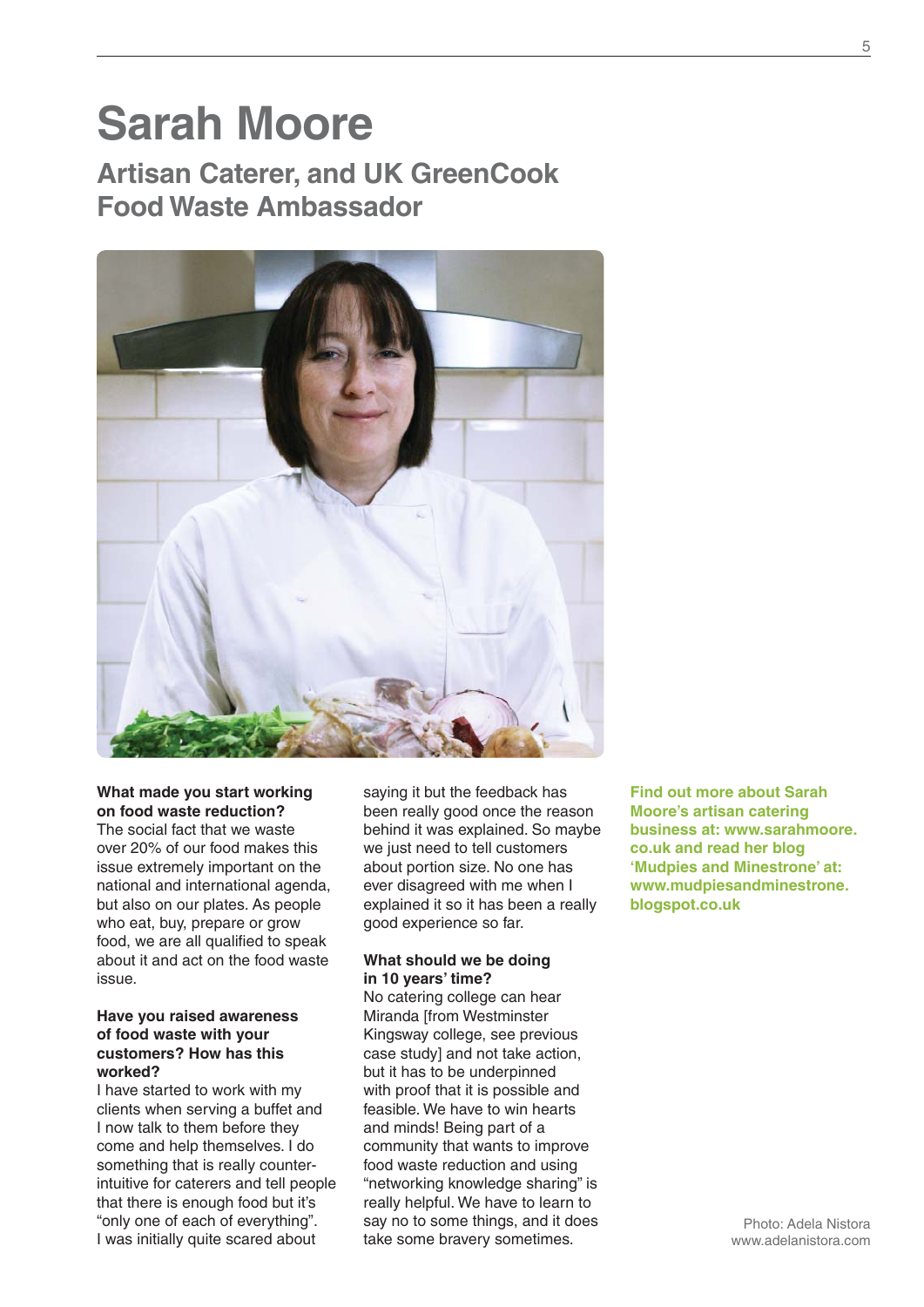### **Sarah Moore Artisan Caterer, and UK GreenCook**

**Food Waste Ambassador**



#### **What made you start working on food waste reduction?**

The social fact that we waste over 20% of our food makes this issue extremely important on the national and international agenda, but also on our plates. As people who eat, buy, prepare or grow food, we are all qualified to speak about it and act on the food waste issue.

#### **Have you raised awareness of food waste with your customers? How has this worked?**

I have started to work with my clients when serving a buffet and I now talk to them before they come and help themselves. I do something that is really counterintuitive for caterers and tell people that there is enough food but it's "only one of each of everything". I was initially quite scared about

saying it but the feedback has been really good once the reason behind it was explained. So maybe we just need to tell customers about portion size. No one has ever disagreed with me when I explained it so it has been a really good experience so far.

#### **What should we be doing in 10 years' time?**

No catering college can hear Miranda [from Westminster Kingsway college, see previous case study] and not take action, but it has to be underpinned with proof that it is possible and feasible. We have to win hearts and minds! Being part of a community that wants to improve food waste reduction and using "networking knowledge sharing" is really helpful. We have to learn to say no to some things, and it does take some bravery sometimes.

**Find out more about Sarah Moore's artisan catering business at: www.sarahmoore. co.uk and read her blog 'Mudpies and Minestrone' at: www.mudpiesandminestrone. blogspot.co.uk**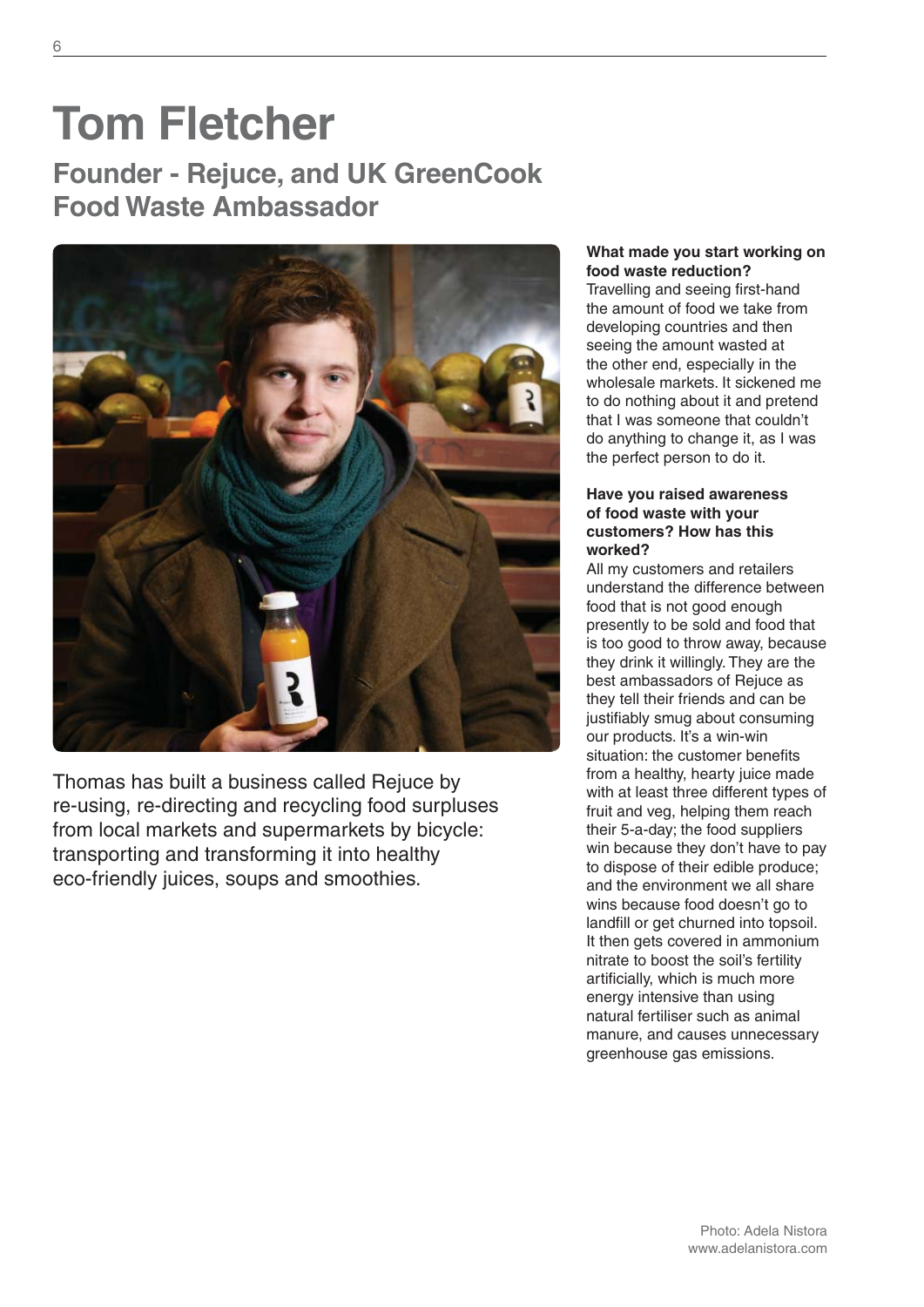### **Tom Fletcher Founder - Rejuce, and UK GreenCook Food Waste Ambassador**



Thomas has built a business called Rejuce by re-using, re-directing and recycling food surpluses from local markets and supermarkets by bicycle: transporting and transforming it into healthy eco-friendly juices, soups and smoothies.

#### **What made you start working on food waste reduction?**

Travelling and seeing first-hand the amount of food we take from developing countries and then seeing the amount wasted at the other end, especially in the wholesale markets. It sickened me to do nothing about it and pretend that I was someone that couldn't do anything to change it, as I was the perfect person to do it.

#### **Have you raised awareness of food waste with your customers? How has this worked?**

All my customers and retailers understand the difference between food that is not good enough presently to be sold and food that is too good to throw away, because they drink it willingly. They are the best ambassadors of Rejuce as they tell their friends and can be justifiably smug about consuming our products. It's a win-win situation: the customer benefits from a healthy, hearty juice made with at least three different types of fruit and veg, helping them reach their 5-a-day; the food suppliers win because they don't have to pay to dispose of their edible produce; and the environment we all share wins because food doesn't go to landfill or get churned into topsoil. It then gets covered in ammonium nitrate to boost the soil's fertility artificially, which is much more energy intensive than using natural fertiliser such as animal manure, and causes unnecessary greenhouse gas emissions.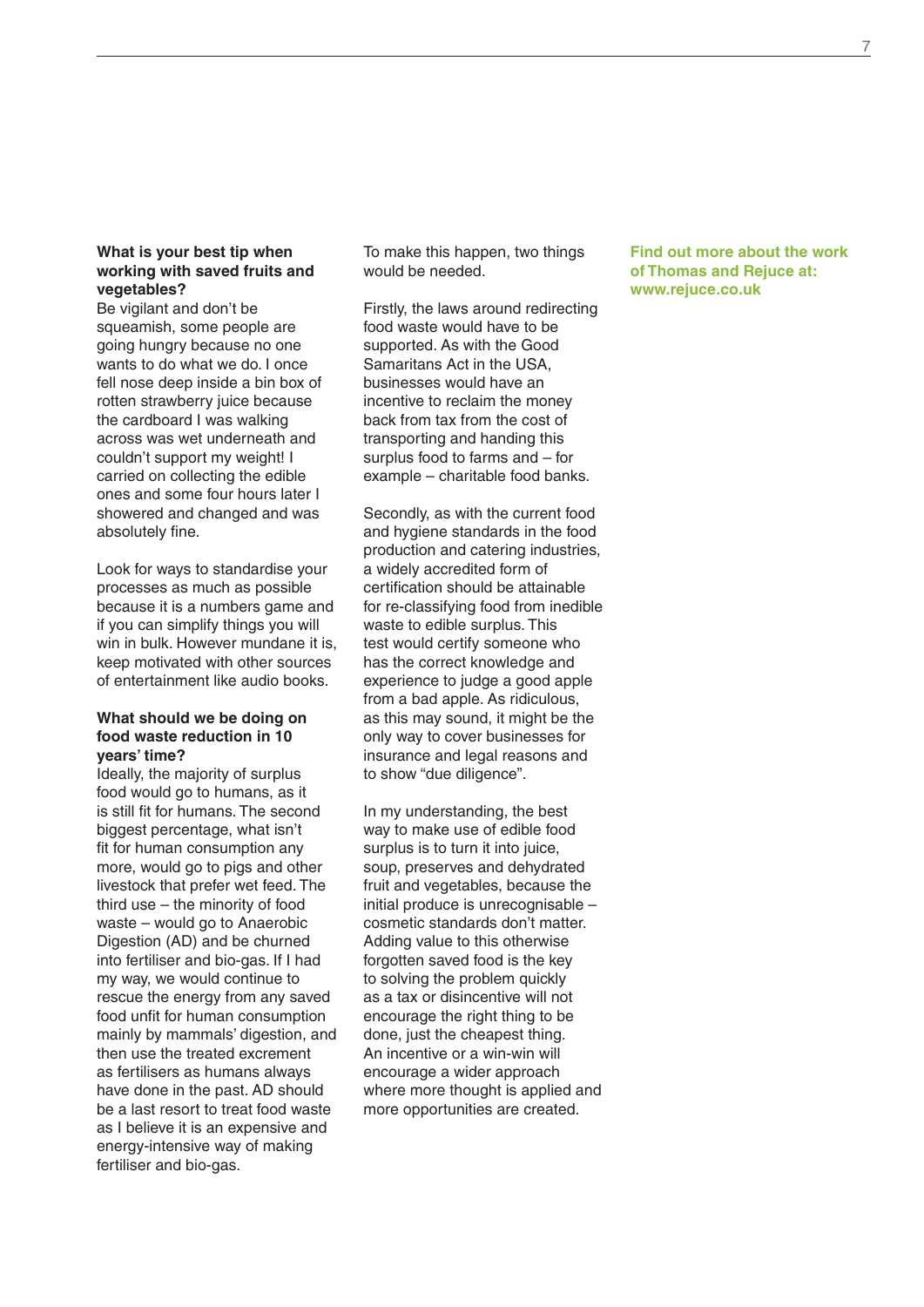#### **What is your best tip when working with saved fruits and vegetables?**

Be vigilant and don't be squeamish, some people are going hungry because no one wants to do what we do. I once fell nose deep inside a bin box of rotten strawberry juice because the cardboard I was walking across was wet underneath and couldn't support my weight! I carried on collecting the edible ones and some four hours later I showered and changed and was absolutely fine.

Look for ways to standardise your processes as much as possible because it is a numbers game and if you can simplify things you will win in bulk. However mundane it is, keep motivated with other sources of entertainment like audio books.

#### **What should we be doing on food waste reduction in 10 years' time?**

Ideally, the majority of surplus food would go to humans, as it is still fit for humans. The second biggest percentage, what isn't fit for human consumption any more, would go to pigs and other livestock that prefer wet feed. The third use – the minority of food waste – would go to Anaerobic Digestion (AD) and be churned into fertiliser and bio-gas. If I had my way, we would continue to rescue the energy from any saved food unfit for human consumption mainly by mammals' digestion, and then use the treated excrement as fertilisers as humans always have done in the past. AD should be a last resort to treat food waste as I believe it is an expensive and energy-intensive way of making fertiliser and bio-gas.

To make this happen, two things would be needed.

Firstly, the laws around redirecting food waste would have to be supported. As with the Good Samaritans Act in the USA, businesses would have an incentive to reclaim the money back from tax from the cost of transporting and handing this surplus food to farms and – for example – charitable food banks.

Secondly, as with the current food and hygiene standards in the food production and catering industries, a widely accredited form of certification should be attainable for re-classifying food from inedible waste to edible surplus. This test would certify someone who has the correct knowledge and experience to judge a good apple from a bad apple. As ridiculous, as this may sound, it might be the only way to cover businesses for insurance and legal reasons and to show "due diligence".

In my understanding, the best way to make use of edible food surplus is to turn it into juice, soup, preserves and dehydrated fruit and vegetables, because the initial produce is unrecognisable – cosmetic standards don't matter. Adding value to this otherwise forgotten saved food is the key to solving the problem quickly as a tax or disincentive will not encourage the right thing to be done, just the cheapest thing. An incentive or a win-win will encourage a wider approach where more thought is applied and more opportunities are created.

#### **Find out more about the work of Thomas and Rejuce at: www.rejuce.co.uk**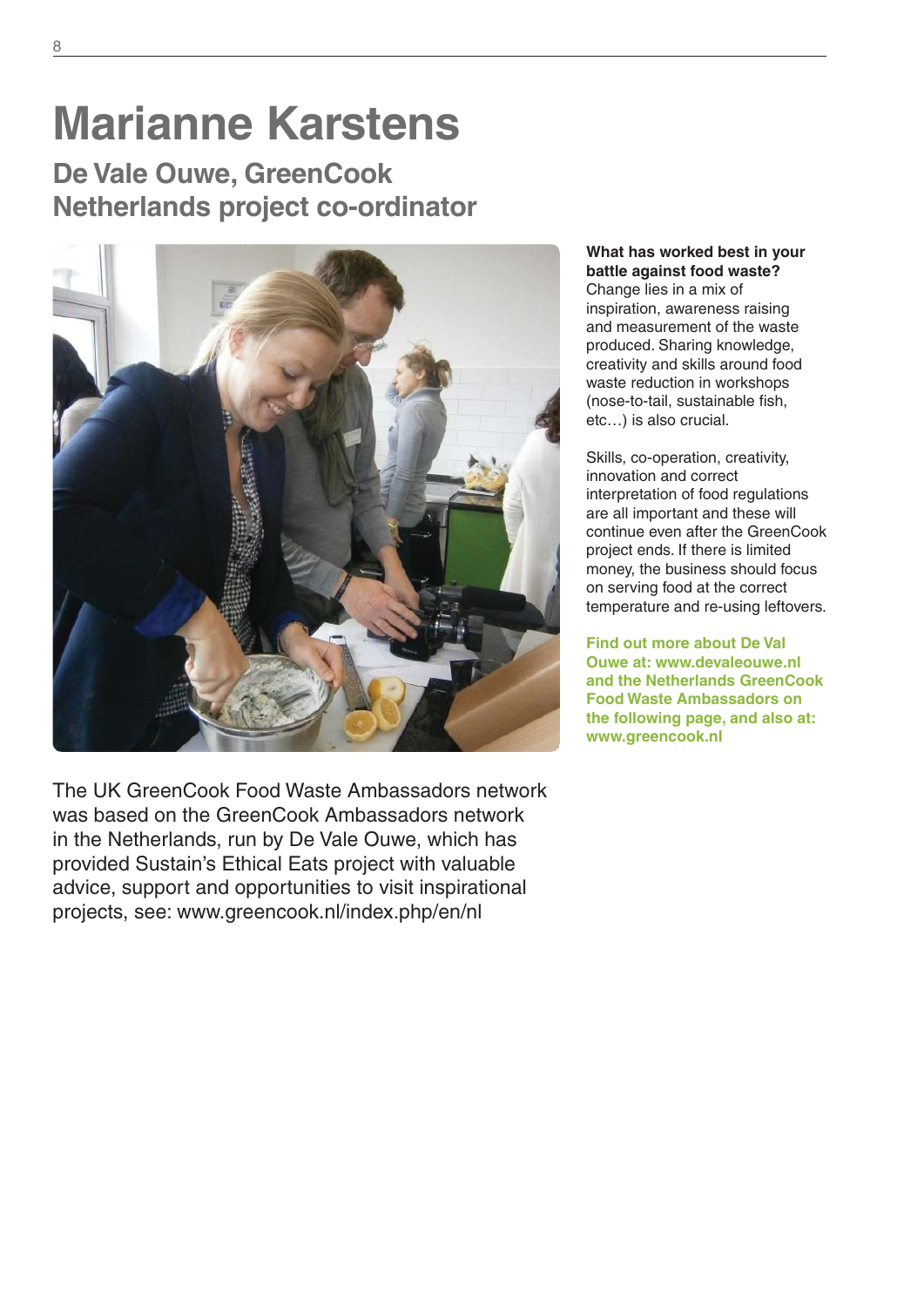# **Marianne Karstens**

**De Vale Ouwe, GreenCook Netherlands project co-ordinator**



The UK GreenCook Food Waste Ambassadors network was based on the GreenCook Ambassadors network in the Netherlands, run by De Vale Ouwe, which has provided Sustain's Ethical Eats project with valuable advice, support and opportunities to visit inspirational projects, see: www.greencook.nl/index.php/en/nl

**What has worked best in your battle against food waste?** Change lies in a mix of inspiration, awareness raising and measurement of the waste produced. Sharing knowledge, creativity and skills around food waste reduction in workshops (nose-to-tail, sustainable fish, etc…) is also crucial.

Skills, co-operation, creativity, innovation and correct interpretation of food regulations are all important and these will continue even after the GreenCook project ends. If there is limited money, the business should focus on serving food at the correct temperature and re-using leftovers.

**Find out more about De Val Ouwe at: www.devaleouwe.nl and the Netherlands GreenCook Food Waste Ambassadors on the following page, and also at: www.greencook.nl**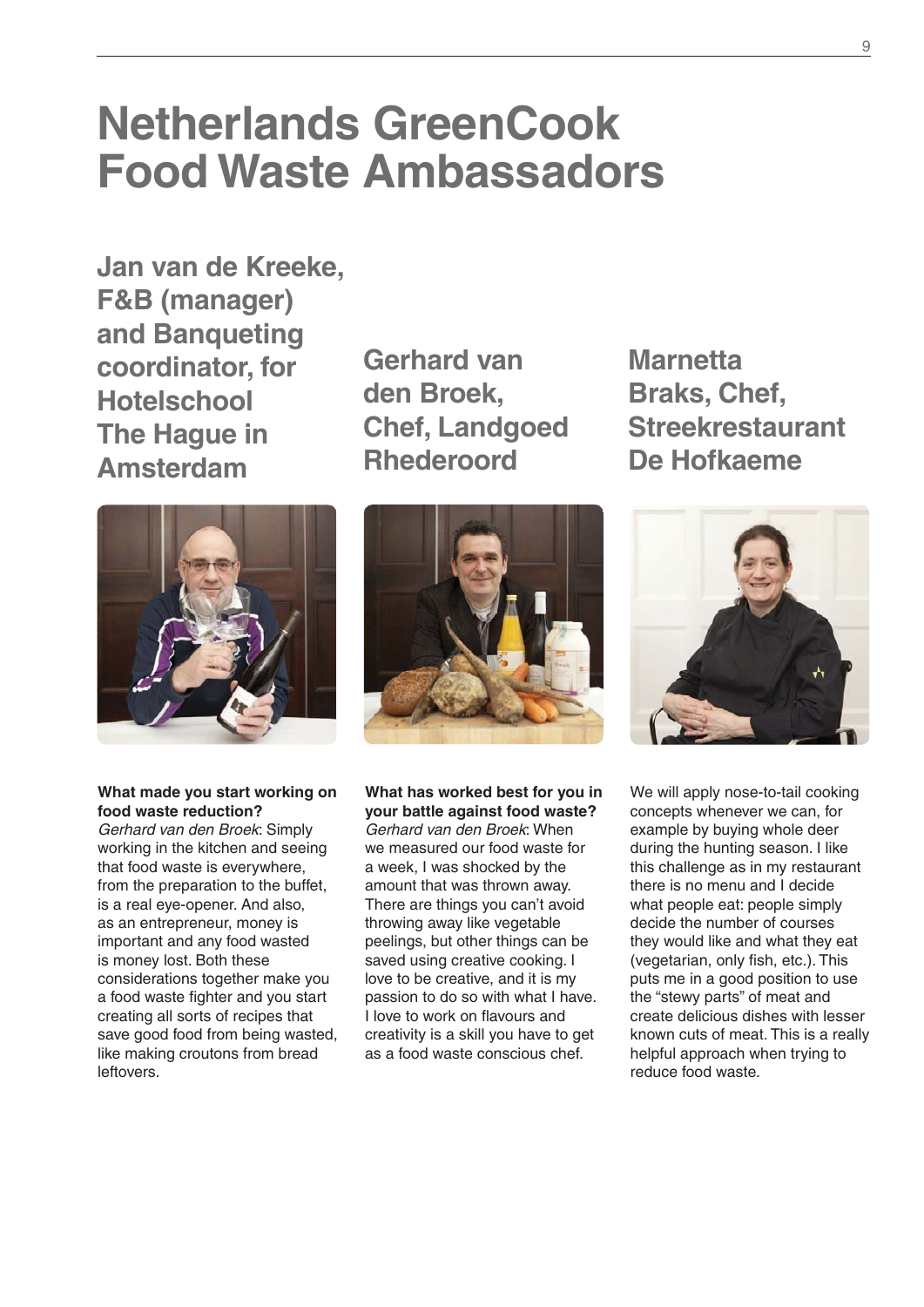### **Netherlands GreenCook Food Waste Ambassadors**

**Jan van de Kreeke, F&B (manager) and Banqueting coordinator, for Hotelschool The Hague in Amsterdam**



**What made you start working on food waste reduction?**

*Gerhard van den Broek*: Simply working in the kitchen and seeing that food waste is everywhere, from the preparation to the buffet, is a real eye-opener. And also, as an entrepreneur, money is important and any food wasted is money lost. Both these considerations together make you a food waste fighter and you start creating all sorts of recipes that save good food from being wasted, like making croutons from bread leftovers.

**Gerhard van den Broek, Chef, Landgoed Rhederoord**



**What has worked best for you in your battle against food waste?** *Gerhard van den Broek*: When we measured our food waste for a week, I was shocked by the amount that was thrown away. There are things you can't avoid throwing away like vegetable peelings, but other things can be saved using creative cooking. I love to be creative, and it is my passion to do so with what I have. I love to work on flavours and creativity is a skill you have to get as a food waste conscious chef.

**Marnetta Braks, Chef, Streekrestaurant De Hofkaeme**



We will apply nose-to-tail cooking concepts whenever we can, for example by buying whole deer during the hunting season. I like this challenge as in my restaurant there is no menu and I decide what people eat: people simply decide the number of courses they would like and what they eat (vegetarian, only fish, etc.). This puts me in a good position to use the "stewy parts" of meat and create delicious dishes with lesser known cuts of meat. This is a really helpful approach when trying to reduce food waste.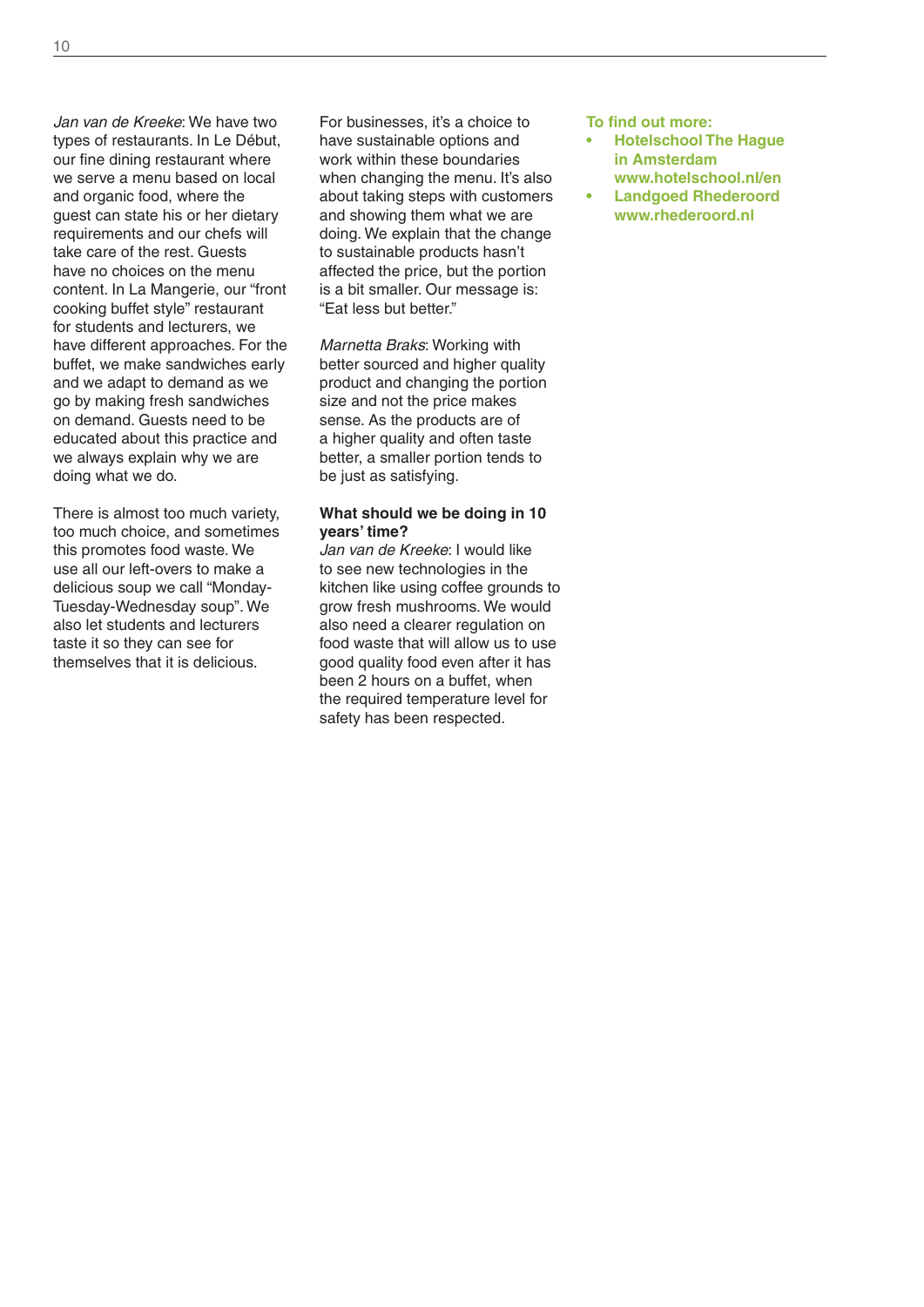*Jan van de Kreeke*: We have two types of restaurants. In Le Début, our fine dining restaurant where we serve a menu based on local and organic food, where the guest can state his or her dietary requirements and our chefs will take care of the rest. Guests have no choices on the menu content. In La Mangerie, our "front cooking buffet style" restaurant for students and lecturers, we have different approaches. For the buffet, we make sandwiches early and we adapt to demand as we go by making fresh sandwiches on demand. Guests need to be educated about this practice and we always explain why we are doing what we do.

There is almost too much variety, too much choice, and sometimes this promotes food waste. We use all our left-overs to make a delicious soup we call "Monday-Tuesday-Wednesday soup". We also let students and lecturers taste it so they can see for themselves that it is delicious.

For businesses, it's a choice to have sustainable options and work within these boundaries when changing the menu. It's also about taking steps with customers and showing them what we are doing. We explain that the change to sustainable products hasn't affected the price, but the portion is a bit smaller. Our message is: "Eat less but better."

*Marnetta Braks*: Working with better sourced and higher quality product and changing the portion size and not the price makes sense. As the products are of a higher quality and often taste better, a smaller portion tends to be just as satisfying.

#### **What should we be doing in 10 years' time?**

*Jan van de Kreeke*: I would like to see new technologies in the kitchen like using coffee grounds to grow fresh mushrooms. We would also need a clearer regulation on food waste that will allow us to use good quality food even after it has been 2 hours on a buffet, when the required temperature level for safety has been respected.

**To find out more:** 

- **Hotelschool The Hague in Amsterdam www.hotelschool.nl/en**
- **Landgoed Rhederoord www.rhederoord.nl**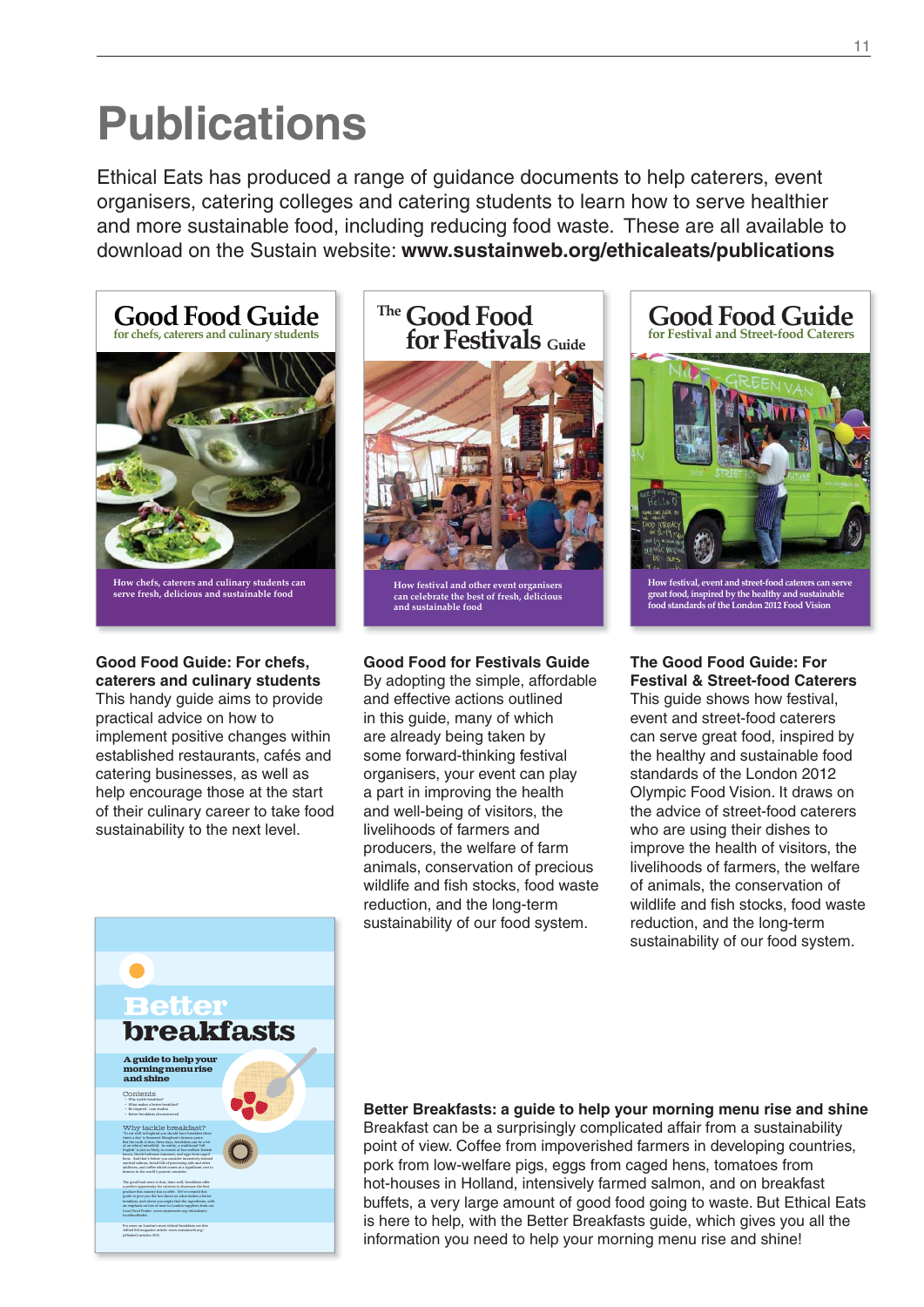## **Publications**

Ethical Eats has produced a range of guidance documents to help caterers, event organisers, catering colleges and catering students to learn how to serve healthier and more sustainable food, including reducing food waste. These are all available to download on the Sustain website: **www.sustainweb.org/ethicaleats/publications**



How chefs, caterers and culinary students can<br>serve fresh, delicious and sustainable food

#### **Good Food Guide: For chefs, caterers and culinary students**

This handy guide aims to provide practical advice on how to implement positive changes within established restaurants, cafés and catering businesses, as well as help encourage those at the start of their culinary career to take food sustainability to the next level.

### **Good Food The for Festivals Guide**



**How festival and other event organisers can celebrate the best of fresh, delicious and sustainable food**

#### **Good Food for Festivals Guide**

By adopting the simple, affordable and effective actions outlined in this guide, many of which are already being taken by some forward-thinking festival organisers, your event can play a part in improving the health and well-being of visitors, the livelihoods of farmers and producers, the welfare of farm animals, conservation of precious wildlife and fish stocks, food waste reduction, and the long-term sustainability of our food system.



**How festival, event and street-food caterers can serve great food, inspired by the healthy and sustainable food standards of the London 2012 Food Vision**

#### **The Good Food Guide: For Festival & Street-food Caterers**

This guide shows how festival, event and street-food caterers can serve great food, inspired by the healthy and sustainable food standards of the London 2012 Olympic Food Vision. It draws on the advice of street-food caterers who are using their dishes to improve the health of visitors, the livelihoods of farmers, the welfare of animals, the conservation of wildlife and fish stocks, food waste reduction, and the long-term sustainability of our food system.



#### **Better Breakfasts: a guide to help your morning menu rise and shine** Breakfast can be a surprisingly complicated affair from a sustainability point of view. Coffee from impoverished farmers in developing countries, pork from low-welfare pigs, eggs from caged hens, tomatoes from hot-houses in Holland, intensively farmed salmon, and on breakfast buffets, a very large amount of good food going to waste. But Ethical Eats is here to help, with the Better Breakfasts guide, which gives you all the information you need to help your morning menu rise and shine!